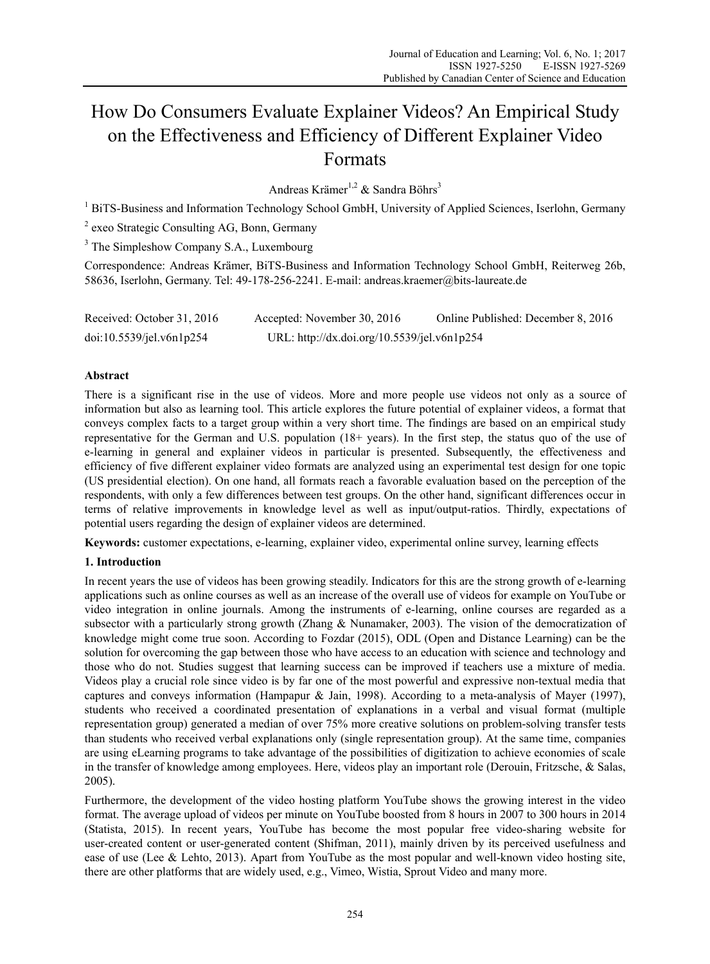# How Do Consumers Evaluate Explainer Videos? An Empirical Study on the Effectiveness and Efficiency of Different Explainer Video Formats

Andreas Krämer<sup>1,2</sup> & Sandra Böhrs<sup>3</sup>

<sup>1</sup> BiTS-Business and Information Technology School GmbH, University of Applied Sciences, Iserlohn, Germany

<sup>2</sup> exeo Strategic Consulting AG, Bonn, Germany

<sup>3</sup> The Simpleshow Company S.A., Luxembourg

Correspondence: Andreas Krämer, BiTS-Business and Information Technology School GmbH, Reiterweg 26b, 58636, Iserlohn, Germany. Tel: 49-178-256-2241. E-mail: andreas.kraemer@bits-laureate.de

Received: October 31, 2016 Accepted: November 30, 2016 Online Published: December 8, 2016 doi:10.5539/jel.v6n1p254 URL: http://dx.doi.org/10.5539/jel.v6n1p254

# **Abstract**

There is a significant rise in the use of videos. More and more people use videos not only as a source of information but also as learning tool. This article explores the future potential of explainer videos, a format that conveys complex facts to a target group within a very short time. The findings are based on an empirical study representative for the German and U.S. population (18+ years). In the first step, the status quo of the use of e-learning in general and explainer videos in particular is presented. Subsequently, the effectiveness and efficiency of five different explainer video formats are analyzed using an experimental test design for one topic (US presidential election). On one hand, all formats reach a favorable evaluation based on the perception of the respondents, with only a few differences between test groups. On the other hand, significant differences occur in terms of relative improvements in knowledge level as well as input/output-ratios. Thirdly, expectations of potential users regarding the design of explainer videos are determined.

**Keywords:** customer expectations, e-learning, explainer video, experimental online survey, learning effects

# **1. Introduction**

In recent years the use of videos has been growing steadily. Indicators for this are the strong growth of e-learning applications such as online courses as well as an increase of the overall use of videos for example on YouTube or video integration in online journals. Among the instruments of e-learning, online courses are regarded as a subsector with a particularly strong growth (Zhang & Nunamaker, 2003). The vision of the democratization of knowledge might come true soon. According to Fozdar (2015), ODL (Open and Distance Learning) can be the solution for overcoming the gap between those who have access to an education with science and technology and those who do not. Studies suggest that learning success can be improved if teachers use a mixture of media. Videos play a crucial role since video is by far one of the most powerful and expressive non-textual media that captures and conveys information (Hampapur & Jain, 1998). According to a meta-analysis of Mayer (1997), students who received a coordinated presentation of explanations in a verbal and visual format (multiple representation group) generated a median of over 75% more creative solutions on problem-solving transfer tests than students who received verbal explanations only (single representation group). At the same time, companies are using eLearning programs to take advantage of the possibilities of digitization to achieve economies of scale in the transfer of knowledge among employees. Here, videos play an important role (Derouin, Fritzsche, & Salas, 2005).

Furthermore, the development of the video hosting platform YouTube shows the growing interest in the video format. The average upload of videos per minute on YouTube boosted from 8 hours in 2007 to 300 hours in 2014 (Statista, 2015). In recent years, YouTube has become the most popular free video-sharing website for user-created content or user-generated content (Shifman, 2011), mainly driven by its perceived usefulness and ease of use (Lee & Lehto, 2013). Apart from YouTube as the most popular and well-known video hosting site, there are other platforms that are widely used, e.g., Vimeo, Wistia, Sprout Video and many more.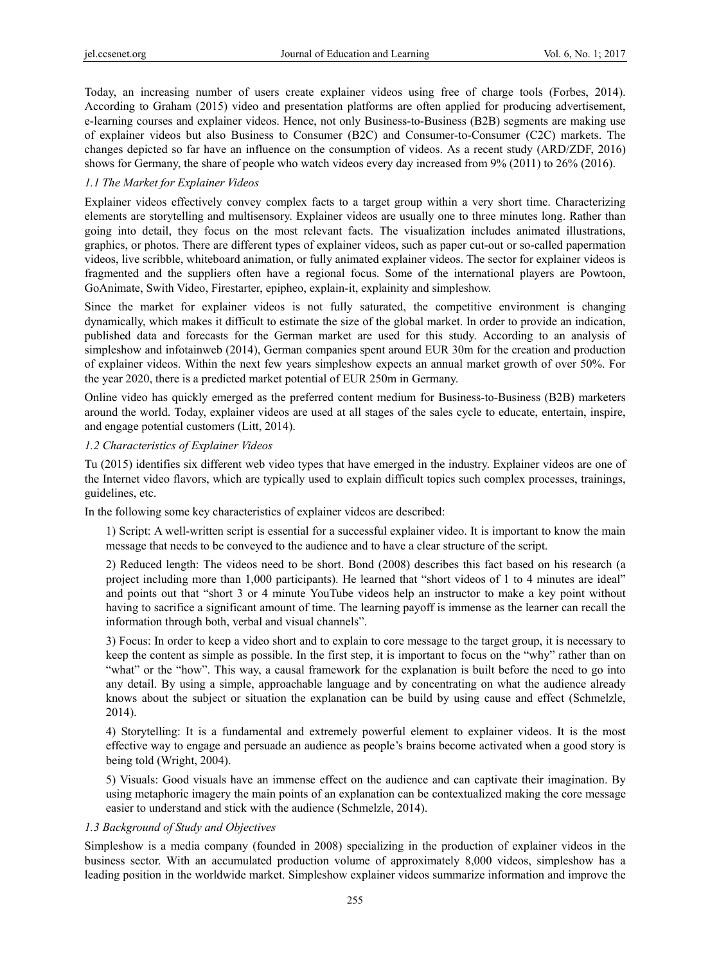Today, an increasing number of users create explainer videos using free of charge tools (Forbes, 2014). According to Graham (2015) video and presentation platforms are often applied for producing advertisement, e-learning courses and explainer videos. Hence, not only Business-to-Business (B2B) segments are making use of explainer videos but also Business to Consumer (B2C) and Consumer-to-Consumer (C2C) markets. The changes depicted so far have an influence on the consumption of videos. As a recent study (ARD/ZDF, 2016) shows for Germany, the share of people who watch videos every day increased from 9% (2011) to 26% (2016).

# *1.1 The Market for Explainer Videos*

Explainer videos effectively convey complex facts to a target group within a very short time. Characterizing elements are storytelling and multisensory. Explainer videos are usually one to three minutes long. Rather than going into detail, they focus on the most relevant facts. The visualization includes animated illustrations, graphics, or photos. There are different types of explainer videos, such as paper cut-out or so-called papermation videos, live scribble, whiteboard animation, or fully animated explainer videos. The sector for explainer videos is fragmented and the suppliers often have a regional focus. Some of the international players are Powtoon, GoAnimate, Swith Video, Firestarter, epipheo, explain-it, explainity and simpleshow.

Since the market for explainer videos is not fully saturated, the competitive environment is changing dynamically, which makes it difficult to estimate the size of the global market. In order to provide an indication, published data and forecasts for the German market are used for this study. According to an analysis of simpleshow and infotainweb (2014), German companies spent around EUR 30m for the creation and production of explainer videos. Within the next few years simpleshow expects an annual market growth of over 50%. For the year 2020, there is a predicted market potential of EUR 250m in Germany.

Online video has quickly emerged as the preferred content medium for Business-to-Business (B2B) marketers around the world. Today, explainer videos are used at all stages of the sales cycle to educate, entertain, inspire, and engage potential customers (Litt, 2014).

# *1.2 Characteristics of Explainer Videos*

Tu (2015) identifies six different web video types that have emerged in the industry. Explainer videos are one of the Internet video flavors, which are typically used to explain difficult topics such complex processes, trainings, guidelines, etc.

In the following some key characteristics of explainer videos are described:

1) Script: A well-written script is essential for a successful explainer video. It is important to know the main message that needs to be conveyed to the audience and to have a clear structure of the script.

2) Reduced length: The videos need to be short. Bond (2008) describes this fact based on his research (a project including more than 1,000 participants). He learned that "short videos of 1 to 4 minutes are ideal" and points out that "short 3 or 4 minute YouTube videos help an instructor to make a key point without having to sacrifice a significant amount of time. The learning payoff is immense as the learner can recall the information through both, verbal and visual channels".

3) Focus: In order to keep a video short and to explain to core message to the target group, it is necessary to keep the content as simple as possible. In the first step, it is important to focus on the "why" rather than on "what" or the "how". This way, a causal framework for the explanation is built before the need to go into any detail. By using a simple, approachable language and by concentrating on what the audience already knows about the subject or situation the explanation can be build by using cause and effect (Schmelzle, 2014).

4) Storytelling: It is a fundamental and extremely powerful element to explainer videos. It is the most effective way to engage and persuade an audience as people's brains become activated when a good story is being told (Wright, 2004).

5) Visuals: Good visuals have an immense effect on the audience and can captivate their imagination. By using metaphoric imagery the main points of an explanation can be contextualized making the core message easier to understand and stick with the audience (Schmelzle, 2014).

# *1.3 Background of Study and Objectives*

Simpleshow is a media company (founded in 2008) specializing in the production of explainer videos in the business sector. With an accumulated production volume of approximately 8,000 videos, simpleshow has a leading position in the worldwide market. Simpleshow explainer videos summarize information and improve the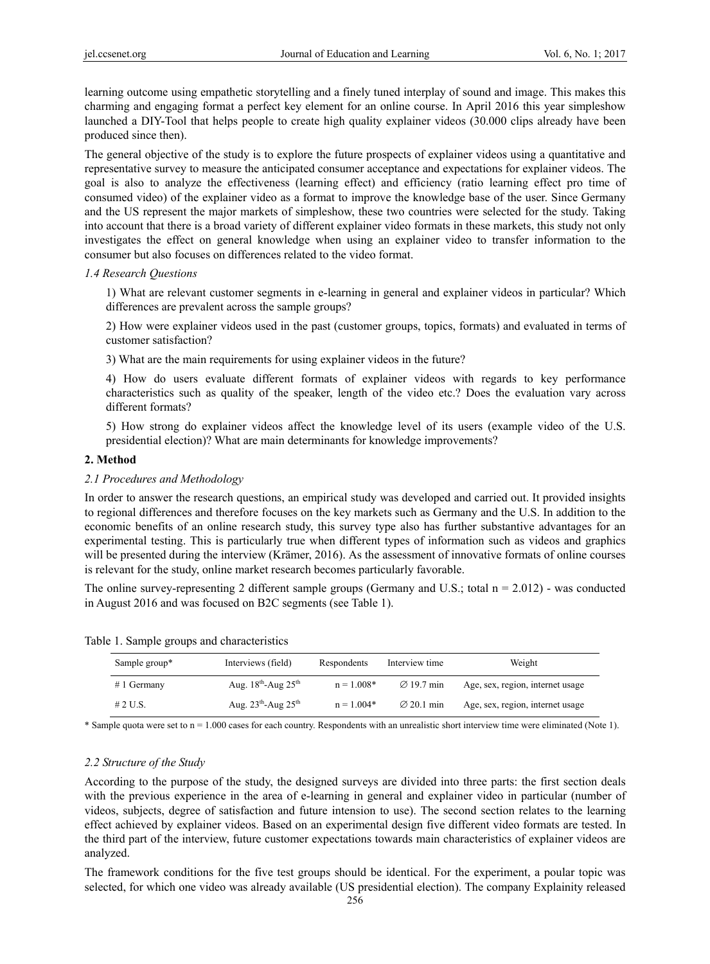learning outcome using empathetic storytelling and a finely tuned interplay of sound and image. This makes this charming and engaging format a perfect key element for an online course. In April 2016 this year simpleshow launched a DIY-Tool that helps people to create high quality explainer videos (30.000 clips already have been produced since then).

The general objective of the study is to explore the future prospects of explainer videos using a quantitative and representative survey to measure the anticipated consumer acceptance and expectations for explainer videos. The goal is also to analyze the effectiveness (learning effect) and efficiency (ratio learning effect pro time of consumed video) of the explainer video as a format to improve the knowledge base of the user. Since Germany and the US represent the major markets of simpleshow, these two countries were selected for the study. Taking into account that there is a broad variety of different explainer video formats in these markets, this study not only investigates the effect on general knowledge when using an explainer video to transfer information to the consumer but also focuses on differences related to the video format.

#### *1.4 Research Questions*

1) What are relevant customer segments in e-learning in general and explainer videos in particular? Which differences are prevalent across the sample groups?

2) How were explainer videos used in the past (customer groups, topics, formats) and evaluated in terms of customer satisfaction?

3) What are the main requirements for using explainer videos in the future?

4) How do users evaluate different formats of explainer videos with regards to key performance characteristics such as quality of the speaker, length of the video etc.? Does the evaluation vary across different formats?

5) How strong do explainer videos affect the knowledge level of its users (example video of the U.S. presidential election)? What are main determinants for knowledge improvements?

# **2. Method**

## *2.1 Procedures and Methodology*

In order to answer the research questions, an empirical study was developed and carried out. It provided insights to regional differences and therefore focuses on the key markets such as Germany and the U.S. In addition to the economic benefits of an online research study, this survey type also has further substantive advantages for an experimental testing. This is particularly true when different types of information such as videos and graphics will be presented during the interview (Krämer, 2016). As the assessment of innovative formats of online courses is relevant for the study, online market research becomes particularly favorable.

The online survey-representing 2 different sample groups (Germany and U.S.; total  $n = 2.012$ ) - was conducted in August 2016 and was focused on B2C segments (see Table 1).

|  |  |  |  | Table 1. Sample groups and characteristics |
|--|--|--|--|--------------------------------------------|
|--|--|--|--|--------------------------------------------|

| Sample group* | Interviews (field)                          | Respondents  | Interview time         | Weight                           |
|---------------|---------------------------------------------|--------------|------------------------|----------------------------------|
| $# 1$ Germany | Aug. $18^{\text{th}}$ -Aug $25^{\text{th}}$ | $n = 1.008*$ | $\varnothing$ 19.7 min | Age, sex, region, internet usage |
| $#2$ U.S.     | Aug. $23^{th}$ -Aug. $25^{th}$              | $n = 1.004*$ | $\varnothing$ 20.1 min | Age, sex, region, internet usage |

\* Sample quota were set to n = 1.000 cases for each country. Respondents with an unrealistic short interview time were eliminated (Note 1).

# *2.2 Structure of the Study*

According to the purpose of the study, the designed surveys are divided into three parts: the first section deals with the previous experience in the area of e-learning in general and explainer video in particular (number of videos, subjects, degree of satisfaction and future intension to use). The second section relates to the learning effect achieved by explainer videos. Based on an experimental design five different video formats are tested. In the third part of the interview, future customer expectations towards main characteristics of explainer videos are analyzed.

The framework conditions for the five test groups should be identical. For the experiment, a poular topic was selected, for which one video was already available (US presidential election). The company Explainity released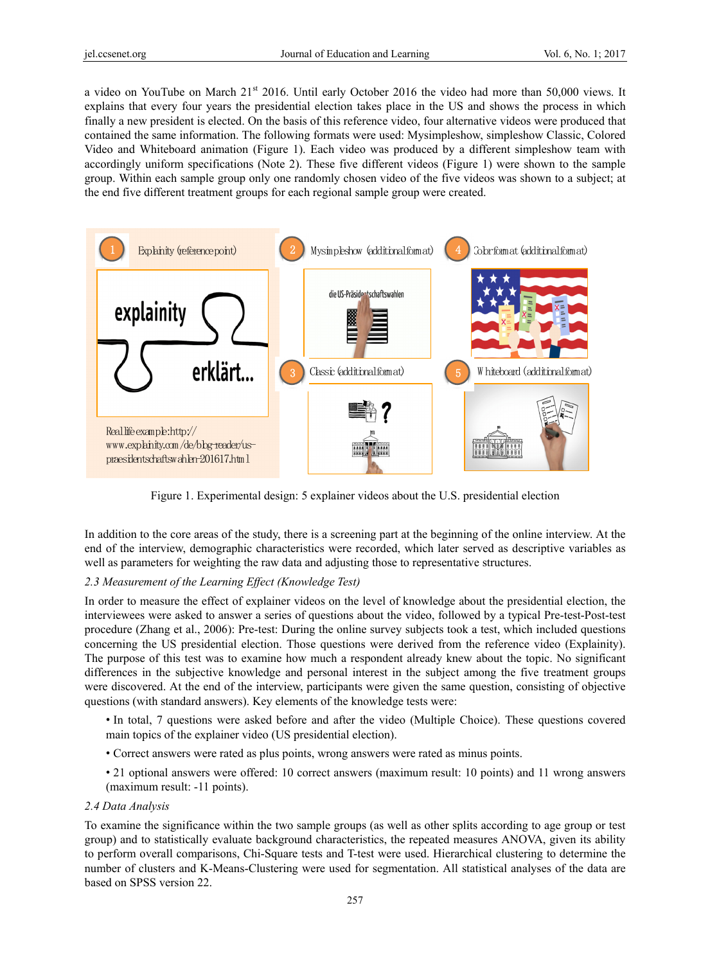a video on YouTube on March 21<sup>st</sup> 2016. Until early October 2016 the video had more than 50,000 views. It explains that every four years the presidential election takes place in the US and shows the process in which finally a new president is elected. On the basis of this reference video, four alternative videos were produced that contained the same information. The following formats were used: Mysimpleshow, simpleshow Classic, Colored Video and Whiteboard animation (Figure 1). Each video was produced by a different simpleshow team with accordingly uniform specifications (Note 2). These five different videos (Figure 1) were shown to the sample group. Within each sample group only one randomly chosen video of the five videos was shown to a subject; at the end five different treatment groups for each regional sample group were created.



Figure 1. Experimental design: 5 explainer videos about the U.S. presidential election

In addition to the core areas of the study, there is a screening part at the beginning of the online interview. At the end of the interview, demographic characteristics were recorded, which later served as descriptive variables as well as parameters for weighting the raw data and adjusting those to representative structures.

# *2.3 Measurement of the Learning Effect (Knowledge Test)*

In order to measure the effect of explainer videos on the level of knowledge about the presidential election, the interviewees were asked to answer a series of questions about the video, followed by a typical Pre-test-Post-test procedure (Zhang et al., 2006): Pre-test: During the online survey subjects took a test, which included questions concerning the US presidential election. Those questions were derived from the reference video (Explainity). The purpose of this test was to examine how much a respondent already knew about the topic. No significant differences in the subjective knowledge and personal interest in the subject among the five treatment groups were discovered. At the end of the interview, participants were given the same question, consisting of objective questions (with standard answers). Key elements of the knowledge tests were:

- In total, 7 questions were asked before and after the video (Multiple Choice). These questions covered main topics of the explainer video (US presidential election).
- Correct answers were rated as plus points, wrong answers were rated as minus points.
- 21 optional answers were offered: 10 correct answers (maximum result: 10 points) and 11 wrong answers (maximum result: -11 points).

# *2.4 Data Analysis*

To examine the significance within the two sample groups (as well as other splits according to age group or test group) and to statistically evaluate background characteristics, the repeated measures ANOVA, given its ability to perform overall comparisons, Chi-Square tests and T-test were used. Hierarchical clustering to determine the number of clusters and K-Means-Clustering were used for segmentation. All statistical analyses of the data are based on SPSS version 22.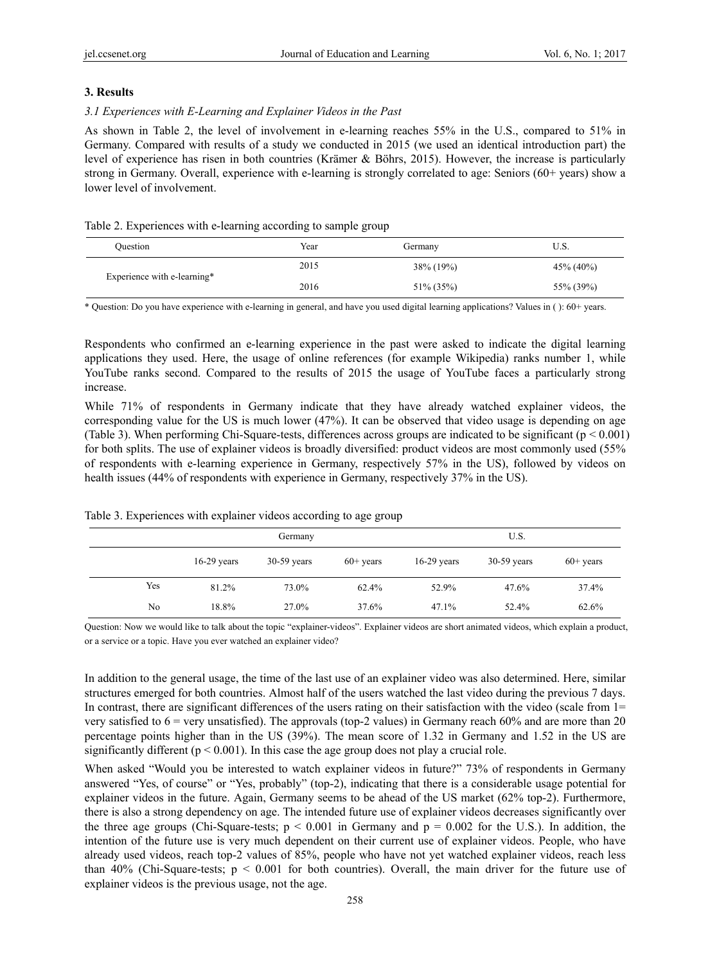# **3. Results**

# *3.1 Experiences with E-Learning and Explainer Videos in the Past*

As shown in Table 2, the level of involvement in e-learning reaches 55% in the U.S., compared to 51% in Germany. Compared with results of a study we conducted in 2015 (we used an identical introduction part) the level of experience has risen in both countries (Krämer & Böhrs, 2015). However, the increase is particularly strong in Germany. Overall, experience with e-learning is strongly correlated to age: Seniors (60+ years) show a lower level of involvement.

# Table 2. Experiences with e-learning according to sample group

| Ouestion                    | Year | Germany       | U.S.          |
|-----------------------------|------|---------------|---------------|
| Experience with e-learning* | 2015 | $38\% (19\%)$ | $45\% (40\%)$ |
|                             | 2016 | 51\% (35\%)   | 55% (39%)     |

\* Question: Do you have experience with e-learning in general, and have you used digital learning applications? Values in ( ): 60+ years.

Respondents who confirmed an e-learning experience in the past were asked to indicate the digital learning applications they used. Here, the usage of online references (for example Wikipedia) ranks number 1, while YouTube ranks second. Compared to the results of 2015 the usage of YouTube faces a particularly strong increase.

While 71% of respondents in Germany indicate that they have already watched explainer videos, the corresponding value for the US is much lower (47%). It can be observed that video usage is depending on age (Table 3). When performing Chi-Square-tests, differences across groups are indicated to be significant  $(p < 0.001)$ for both splits. The use of explainer videos is broadly diversified: product videos are most commonly used (55% of respondents with e-learning experience in Germany, respectively 57% in the US), followed by videos on health issues (44% of respondents with experience in Germany, respectively 37% in the US).

|     | Germany       |               |             | U.S.          |               |             |
|-----|---------------|---------------|-------------|---------------|---------------|-------------|
|     | $16-29$ years | $30-59$ years | $60+$ years | $16-29$ years | $30-59$ years | $60+$ years |
| Yes | 81.2%         | 73.0%         | 62.4%       | 52.9%         | 47.6%         | 37.4%       |
| No  | 18.8%         | 27.0%         | 37.6%       | 47.1%         | 52.4%         | 62.6%       |

Table 3. Experiences with explainer videos according to age group

Question: Now we would like to talk about the topic "explainer-videos". Explainer videos are short animated videos, which explain a product, or a service or a topic. Have you ever watched an explainer video?

In addition to the general usage, the time of the last use of an explainer video was also determined. Here, similar structures emerged for both countries. Almost half of the users watched the last video during the previous 7 days. In contrast, there are significant differences of the users rating on their satisfaction with the video (scale from  $1=$ very satisfied to  $6 =$  very unsatisfied). The approvals (top-2 values) in Germany reach  $60\%$  and are more than 20 percentage points higher than in the US (39%). The mean score of 1.32 in Germany and 1.52 in the US are significantly different ( $p < 0.001$ ). In this case the age group does not play a crucial role.

When asked "Would you be interested to watch explainer videos in future?" 73% of respondents in Germany answered "Yes, of course" or "Yes, probably" (top-2), indicating that there is a considerable usage potential for explainer videos in the future. Again, Germany seems to be ahead of the US market (62% top-2). Furthermore, there is also a strong dependency on age. The intended future use of explainer videos decreases significantly over the three age groups (Chi-Square-tests;  $p < 0.001$  in Germany and  $p = 0.002$  for the U.S.). In addition, the intention of the future use is very much dependent on their current use of explainer videos. People, who have already used videos, reach top-2 values of 85%, people who have not yet watched explainer videos, reach less than 40% (Chi-Square-tests;  $p < 0.001$  for both countries). Overall, the main driver for the future use of explainer videos is the previous usage, not the age.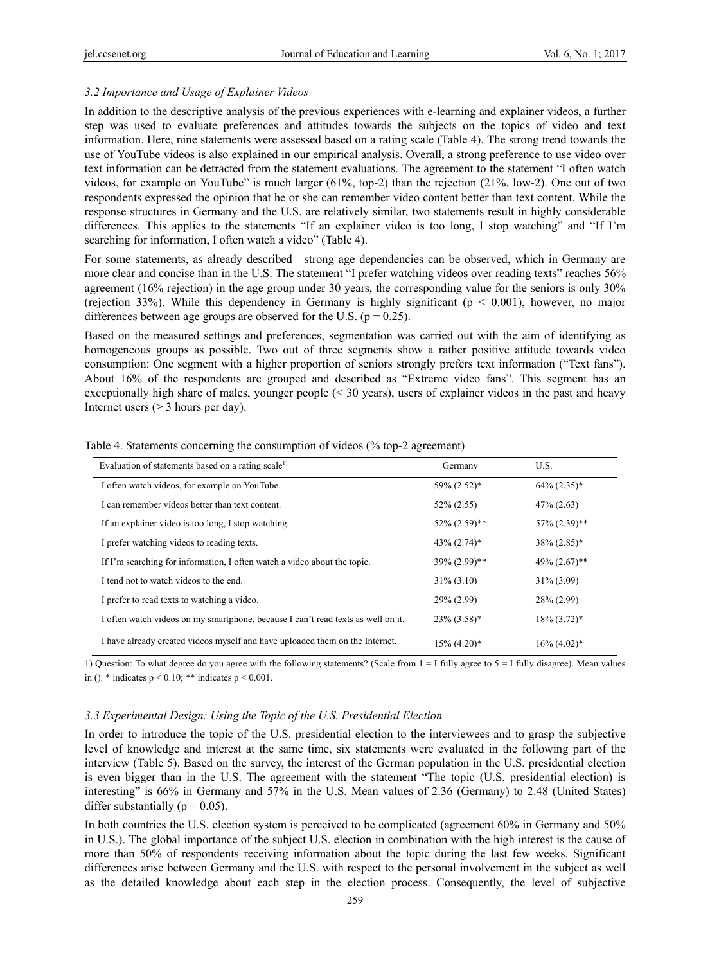## *3.2 Importance and Usage of Explainer Videos*

In addition to the descriptive analysis of the previous experiences with e-learning and explainer videos, a further step was used to evaluate preferences and attitudes towards the subjects on the topics of video and text information. Here, nine statements were assessed based on a rating scale (Table 4). The strong trend towards the use of YouTube videos is also explained in our empirical analysis. Overall, a strong preference to use video over text information can be detracted from the statement evaluations. The agreement to the statement "I often watch videos, for example on YouTube" is much larger (61%, top-2) than the rejection (21%, low-2). One out of two respondents expressed the opinion that he or she can remember video content better than text content. While the response structures in Germany and the U.S. are relatively similar, two statements result in highly considerable differences. This applies to the statements "If an explainer video is too long, I stop watching" and "If I'm searching for information, I often watch a video" (Table 4).

For some statements, as already described—strong age dependencies can be observed, which in Germany are more clear and concise than in the U.S. The statement "I prefer watching videos over reading texts" reaches 56% agreement (16% rejection) in the age group under 30 years, the corresponding value for the seniors is only 30% (rejection 33%). While this dependency in Germany is highly significant ( $p < 0.001$ ), however, no major differences between age groups are observed for the U.S. ( $p = 0.25$ ).

Based on the measured settings and preferences, segmentation was carried out with the aim of identifying as homogeneous groups as possible. Two out of three segments show a rather positive attitude towards video consumption: One segment with a higher proportion of seniors strongly prefers text information ("Text fans"). About 16% of the respondents are grouped and described as "Extreme video fans". This segment has an exceptionally high share of males, younger people (< 30 years), users of explainer videos in the past and heavy Internet users (> 3 hours per day).

| Evaluation of statements based on a rating scale <sup>1)</sup>                   | Germany          | U.S.             |
|----------------------------------------------------------------------------------|------------------|------------------|
| I often watch videos, for example on YouTube.                                    | 59% (2.52)*      | $64\% (2.35)^*$  |
| I can remember videos better than text content.                                  | $52\% (2.55)$    | $47\% (2.63)$    |
| If an explainer video is too long, I stop watching.                              | $52\% (2.59)$ ** | 57% (2.39)**     |
| I prefer watching videos to reading texts.                                       | $43\% (2.74)^*$  | $38\% (2.85)^*$  |
| If I'm searching for information, I often watch a video about the topic.         | 39% (2.99)**     | $49\% (2.67)$ ** |
| I tend not to watch videos to the end.                                           | $31\% (3.10)$    | $31\% (3.09)$    |
| I prefer to read texts to watching a video.                                      | 29% (2.99)       | 28% (2.99)       |
| I often watch videos on my smartphone, because I can't read texts as well on it. | $23\% (3.58)^*$  | $18\% (3.72)^*$  |
| I have already created videos myself and have uploaded them on the Internet.     | $15\% (4.20)$ *  | $16\% (4.02)^*$  |

Table 4. Statements concerning the consumption of videos (% top-2 agreement)

1) Question: To what degree do you agree with the following statements? (Scale from 1 = I fully agree to 5 = I fully disagree). Mean values in (). \* indicates  $p < 0.10$ ; \*\* indicates  $p < 0.001$ .

#### *3.3 Experimental Design: Using the Topic of the U.S. Presidential Election*

In order to introduce the topic of the U.S. presidential election to the interviewees and to grasp the subjective level of knowledge and interest at the same time, six statements were evaluated in the following part of the interview (Table 5). Based on the survey, the interest of the German population in the U.S. presidential election is even bigger than in the U.S. The agreement with the statement "The topic (U.S. presidential election) is interesting" is 66% in Germany and 57% in the U.S. Mean values of 2.36 (Germany) to 2.48 (United States) differ substantially ( $p = 0.05$ ).

In both countries the U.S. election system is perceived to be complicated (agreement 60% in Germany and 50% in U.S.). The global importance of the subject U.S. election in combination with the high interest is the cause of more than 50% of respondents receiving information about the topic during the last few weeks. Significant differences arise between Germany and the U.S. with respect to the personal involvement in the subject as well as the detailed knowledge about each step in the election process. Consequently, the level of subjective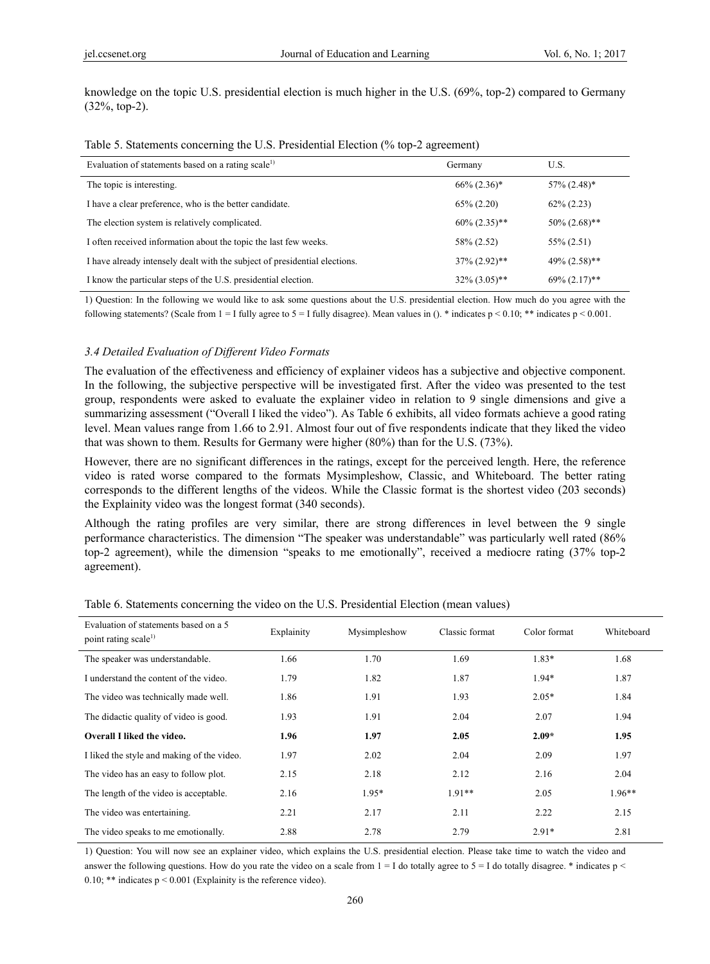knowledge on the topic U.S. presidential election is much higher in the U.S. (69%, top-2) compared to Germany (32%, top-2).

|  |  |  | Table 5. Statements concerning the U.S. Presidential Election (% top-2 agreement) |  |
|--|--|--|-----------------------------------------------------------------------------------|--|
|  |  |  |                                                                                   |  |

| Evaluation of statements based on a rating scale <sup>1)</sup>             | Germany          | U.S.                         |
|----------------------------------------------------------------------------|------------------|------------------------------|
| The topic is interesting.                                                  | $66\% (2.36)^*$  | $57\%$ $(2.48)$ <sup>*</sup> |
| I have a clear preference, who is the better candidate.                    | $65\% (2.20)$    | $62\% (2.23)$                |
| The election system is relatively complicated.                             | $60\% (2.35)$ ** | $50\% (2.68)$ **             |
| I often received information about the topic the last few weeks.           | 58% (2.52)       | $55\% (2.51)$                |
| I have already intensely dealt with the subject of presidential elections. | $37\% (2.92)$ ** | $49\% (2.58)$ **             |
| I know the particular steps of the U.S. presidential election.             | $32\% (3.05)$ ** | $69\% (2.17)$ **             |

1) Question: In the following we would like to ask some questions about the U.S. presidential election. How much do you agree with the following statements? (Scale from  $1 = I$  fully agree to  $5 = I$  fully disagree). Mean values in (). \* indicates  $p \le 0.00$ ; \*\* indicates  $p \le 0.001$ .

#### *3.4 Detailed Evaluation of Different Video Formats*

The evaluation of the effectiveness and efficiency of explainer videos has a subjective and objective component. In the following, the subjective perspective will be investigated first. After the video was presented to the test group, respondents were asked to evaluate the explainer video in relation to 9 single dimensions and give a summarizing assessment ("Overall I liked the video"). As Table 6 exhibits, all video formats achieve a good rating level. Mean values range from 1.66 to 2.91. Almost four out of five respondents indicate that they liked the video that was shown to them. Results for Germany were higher (80%) than for the U.S. (73%).

However, there are no significant differences in the ratings, except for the perceived length. Here, the reference video is rated worse compared to the formats Mysimpleshow, Classic, and Whiteboard. The better rating corresponds to the different lengths of the videos. While the Classic format is the shortest video (203 seconds) the Explainity video was the longest format (340 seconds).

Although the rating profiles are very similar, there are strong differences in level between the 9 single performance characteristics. The dimension "The speaker was understandable" was particularly well rated (86% top-2 agreement), while the dimension "speaks to me emotionally", received a mediocre rating (37% top-2 agreement).

| Evaluation of statements based on a 5<br>point rating scale <sup>1)</sup> | Explainity | Mysimpleshow | Classic format | Color format | Whiteboard |
|---------------------------------------------------------------------------|------------|--------------|----------------|--------------|------------|
| The speaker was understandable.                                           | 1.66       | 1.70         | 1.69           | $1.83*$      | 1.68       |
| I understand the content of the video.                                    | 1.79       | 1.82         | 1.87           | $1.94*$      | 1.87       |
| The video was technically made well.                                      | 1.86       | 1.91         | 1.93           | $2.05*$      | 1.84       |
| The didactic quality of video is good.                                    | 1.93       | 1.91         | 2.04           | 2.07         | 1.94       |
| <b>Overall I liked the video.</b>                                         | 1.96       | 1.97         | 2.05           | $2.09*$      | 1.95       |
| I liked the style and making of the video.                                | 1.97       | 2.02         | 2.04           | 2.09         | 1.97       |
| The video has an easy to follow plot.                                     | 2.15       | 2.18         | 2.12           | 2.16         | 2.04       |
| The length of the video is acceptable.                                    | 2.16       | 1.95*        | $1.91**$       | 2.05         | $1.96**$   |
| The video was entertaining.                                               | 2.21       | 2.17         | 2.11           | 2.22         | 2.15       |
| The video speaks to me emotionally.                                       | 2.88       | 2.78         | 2.79           | $2.91*$      | 2.81       |

Table 6. Statements concerning the video on the U.S. Presidential Election (mean values)

1) Question: You will now see an explainer video, which explains the U.S. presidential election. Please take time to watch the video and answer the following questions. How do you rate the video on a scale from  $1 = I$  do totally agree to  $5 = I$  do totally disagree. \* indicates p < 0.10; \*\* indicates  $p \le 0.001$  (Explainity is the reference video).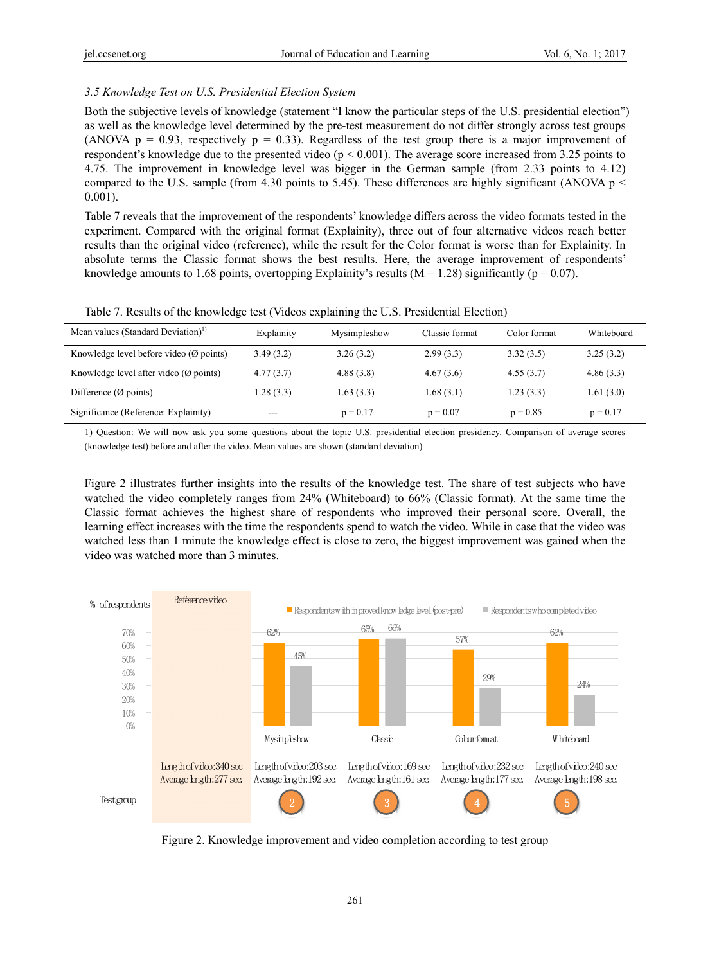# *3.5 Knowledge Test on U.S. Presidential Election System*

Both the subjective levels of knowledge (statement "I know the particular steps of the U.S. presidential election") as well as the knowledge level determined by the pre-test measurement do not differ strongly across test groups (ANOVA  $p = 0.93$ , respectively  $p = 0.33$ ). Regardless of the test group there is a major improvement of respondent's knowledge due to the presented video ( $p < 0.001$ ). The average score increased from 3.25 points to 4.75. The improvement in knowledge level was bigger in the German sample (from 2.33 points to 4.12) compared to the U.S. sample (from 4.30 points to 5.45). These differences are highly significant (ANOVA  $p \le$ 0.001).

Table 7 reveals that the improvement of the respondents' knowledge differs across the video formats tested in the experiment. Compared with the original format (Explainity), three out of four alternative videos reach better results than the original video (reference), while the result for the Color format is worse than for Explainity. In absolute terms the Classic format shows the best results. Here, the average improvement of respondents' knowledge amounts to 1.68 points, overtopping Explainity's results ( $M = 1.28$ ) significantly ( $p = 0.07$ ).

| Mean values (Standard Deviation) <sup>1)</sup>    | Explainity | Mysimpleshow | Classic format | Color format | Whiteboard |
|---------------------------------------------------|------------|--------------|----------------|--------------|------------|
| Knowledge level before video $(\emptyset$ points) | 3.49(3.2)  | 3.26(3.2)    | 2.99(3.3)      | 3.32(3.5)    | 3.25(3.2)  |
| Knowledge level after video $(\emptyset$ points)  | 4.77(3.7)  | 4.88(3.8)    | 4.67(3.6)      | 4.55(3.7)    | 4.86(3.3)  |
| Difference $(\emptyset$ points)                   | 1.28(3.3)  | 1.63(3.3)    | 1.68(3.1)      | 1.23(3.3)    | 1.61(3.0)  |
| Significance (Reference: Explainity)              | $---$      | $p = 0.17$   | $p = 0.07$     | $p = 0.85$   | $p = 0.17$ |

Table 7. Results of the knowledge test (Videos explaining the U.S. Presidential Election)

1) Question: We will now ask you some questions about the topic U.S. presidential election presidency. Comparison of average scores (knowledge test) before and after the video. Mean values are shown (standard deviation)

Figure 2 illustrates further insights into the results of the knowledge test. The share of test subjects who have watched the video completely ranges from 24% (Whiteboard) to 66% (Classic format). At the same time the Classic format achieves the highest share of respondents who improved their personal score. Overall, the learning effect increases with the time the respondents spend to watch the video. While in case that the video was watched less than 1 minute the knowledge effect is close to zero, the biggest improvement was gained when the video was watched more than 3 minutes.



Figure 2. Knowledge improvement and video completion according to test group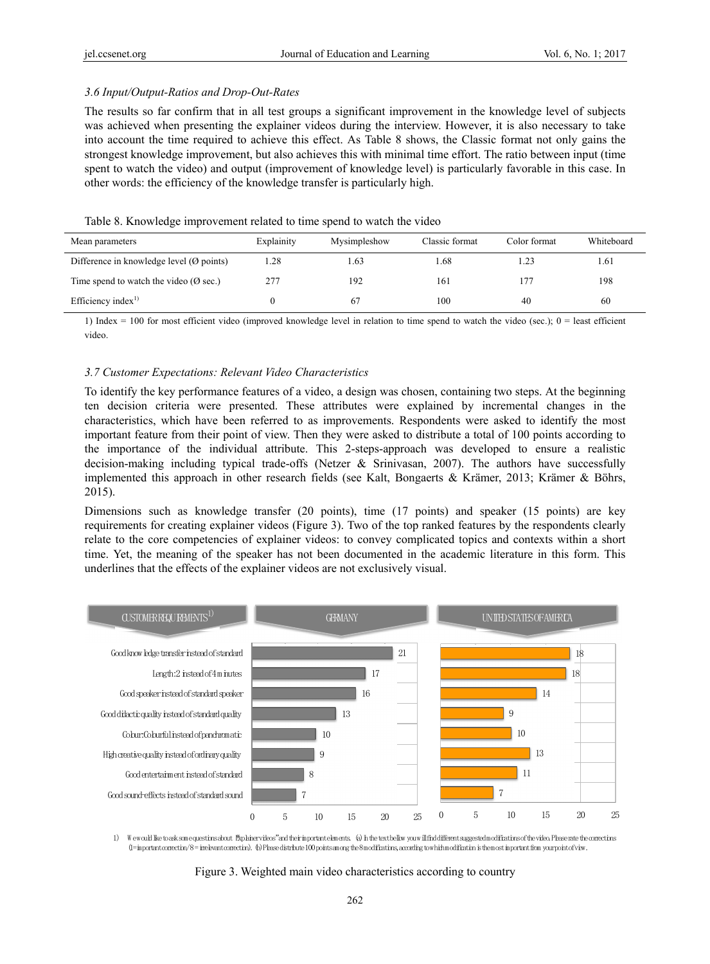#### *3.6 Input/Output-Ratios and Drop-Out-Rates*

The results so far confirm that in all test groups a significant improvement in the knowledge level of subjects was achieved when presenting the explainer videos during the interview. However, it is also necessary to take into account the time required to achieve this effect. As Table 8 shows, the Classic format not only gains the strongest knowledge improvement, but also achieves this with minimal time effort. The ratio between input (time spent to watch the video) and output (improvement of knowledge level) is particularly favorable in this case. In other words: the efficiency of the knowledge transfer is particularly high.

#### Table 8. Knowledge improvement related to time spend to watch the video

| Mean parameters                                     | Explainity | Mysimpleshow | Classic format | Color format | Whiteboard |
|-----------------------------------------------------|------------|--------------|----------------|--------------|------------|
| Difference in knowledge level $(\emptyset$ points)  | -28        | . 63         | .68            | $-23$        | 1.61       |
| Time spend to watch the video ( $\varnothing$ sec.) | 277        | 192          | 161            |              | 198        |
| Efficiency index $^{1}$                             |            | 67           | 100            | 40           | 60         |

1) Index = 100 for most efficient video (improved knowledge level in relation to time spend to watch the video (sec.);  $0 =$  least efficient video.

#### *3.7 Customer Expectations: Relevant Video Characteristics*

To identify the key performance features of a video, a design was chosen, containing two steps. At the beginning ten decision criteria were presented. These attributes were explained by incremental changes in the characteristics, which have been referred to as improvements. Respondents were asked to identify the most important feature from their point of view. Then they were asked to distribute a total of 100 points according to the importance of the individual attribute. This 2-steps-approach was developed to ensure a realistic decision-making including typical trade-offs (Netzer & Srinivasan, 2007). The authors have successfully implemented this approach in other research fields (see Kalt, Bongaerts & Krämer, 2013; Krämer & Böhrs, 2015).

Dimensions such as knowledge transfer (20 points), time (17 points) and speaker (15 points) are key requirements for creating explainer videos (Figure 3). Two of the top ranked features by the respondents clearly relate to the core competencies of explainer videos: to convey complicated topics and contexts within a short time. Yet, the meaning of the speaker has not been documented in the academic literature in this form. This underlines that the effects of the explainer videos are not exclusively visual.



1) W e would like to ask some questions about "Explainer videos"and their important elements. (a) In the text bellow you willfind different suggested modifications of the video.Please rate the corrections (1=important correction/8=inelevant correction). (b) Please distribute 100 points among the 8 modifications, according to which modification is the most important from your point of view.

Figure 3. Weighted main video characteristics according to country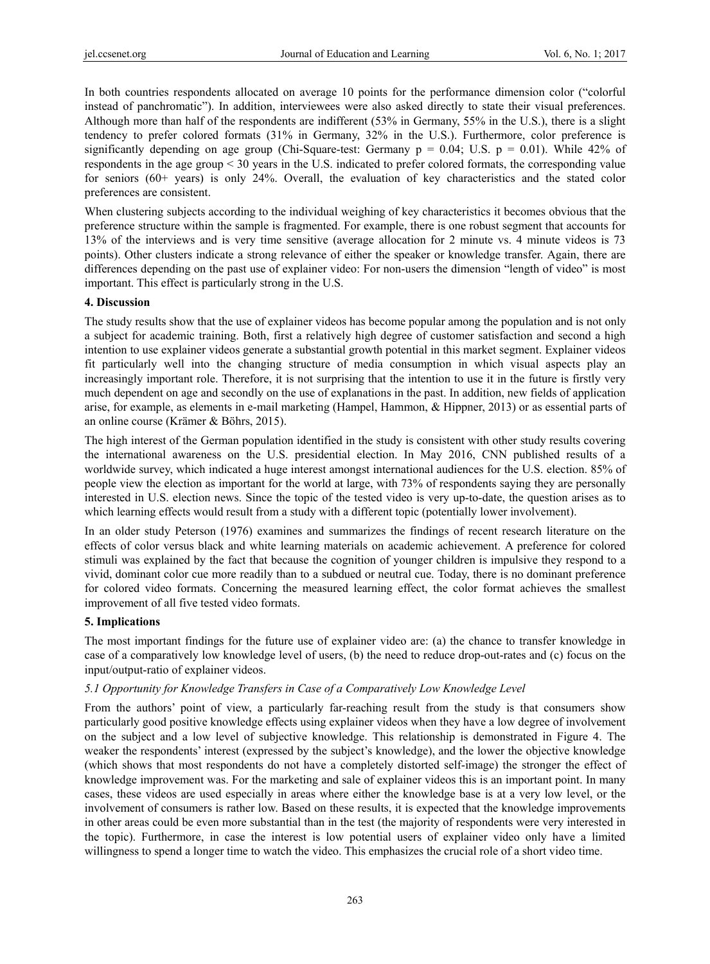In both countries respondents allocated on average 10 points for the performance dimension color ("colorful instead of panchromatic"). In addition, interviewees were also asked directly to state their visual preferences. Although more than half of the respondents are indifferent (53% in Germany, 55% in the U.S.), there is a slight tendency to prefer colored formats (31% in Germany, 32% in the U.S.). Furthermore, color preference is significantly depending on age group (Chi-Square-test: Germany  $p = 0.04$ ; U.S.  $p = 0.01$ ). While 42% of respondents in the age group < 30 years in the U.S. indicated to prefer colored formats, the corresponding value for seniors (60+ years) is only 24%. Overall, the evaluation of key characteristics and the stated color preferences are consistent.

When clustering subjects according to the individual weighing of key characteristics it becomes obvious that the preference structure within the sample is fragmented. For example, there is one robust segment that accounts for 13% of the interviews and is very time sensitive (average allocation for 2 minute vs. 4 minute videos is 73 points). Other clusters indicate a strong relevance of either the speaker or knowledge transfer. Again, there are differences depending on the past use of explainer video: For non-users the dimension "length of video" is most important. This effect is particularly strong in the U.S.

# **4. Discussion**

The study results show that the use of explainer videos has become popular among the population and is not only a subject for academic training. Both, first a relatively high degree of customer satisfaction and second a high intention to use explainer videos generate a substantial growth potential in this market segment. Explainer videos fit particularly well into the changing structure of media consumption in which visual aspects play an increasingly important role. Therefore, it is not surprising that the intention to use it in the future is firstly very much dependent on age and secondly on the use of explanations in the past. In addition, new fields of application arise, for example, as elements in e-mail marketing (Hampel, Hammon, & Hippner, 2013) or as essential parts of an online course (Krämer & Böhrs, 2015).

The high interest of the German population identified in the study is consistent with other study results covering the international awareness on the U.S. presidential election. In May 2016, CNN published results of a worldwide survey, which indicated a huge interest amongst international audiences for the U.S. election. 85% of people view the election as important for the world at large, with 73% of respondents saying they are personally interested in U.S. election news. Since the topic of the tested video is very up-to-date, the question arises as to which learning effects would result from a study with a different topic (potentially lower involvement).

In an older study Peterson (1976) examines and summarizes the findings of recent research literature on the effects of color versus black and white learning materials on academic achievement. A preference for colored stimuli was explained by the fact that because the cognition of younger children is impulsive they respond to a vivid, dominant color cue more readily than to a subdued or neutral cue. Today, there is no dominant preference for colored video formats. Concerning the measured learning effect, the color format achieves the smallest improvement of all five tested video formats.

# **5. Implications**

The most important findings for the future use of explainer video are: (a) the chance to transfer knowledge in case of a comparatively low knowledge level of users, (b) the need to reduce drop-out-rates and (c) focus on the input/output-ratio of explainer videos.

# *5.1 Opportunity for Knowledge Transfers in Case of a Comparatively Low Knowledge Level*

From the authors' point of view, a particularly far-reaching result from the study is that consumers show particularly good positive knowledge effects using explainer videos when they have a low degree of involvement on the subject and a low level of subjective knowledge. This relationship is demonstrated in Figure 4. The weaker the respondents' interest (expressed by the subject's knowledge), and the lower the objective knowledge (which shows that most respondents do not have a completely distorted self-image) the stronger the effect of knowledge improvement was. For the marketing and sale of explainer videos this is an important point. In many cases, these videos are used especially in areas where either the knowledge base is at a very low level, or the involvement of consumers is rather low. Based on these results, it is expected that the knowledge improvements in other areas could be even more substantial than in the test (the majority of respondents were very interested in the topic). Furthermore, in case the interest is low potential users of explainer video only have a limited willingness to spend a longer time to watch the video. This emphasizes the crucial role of a short video time.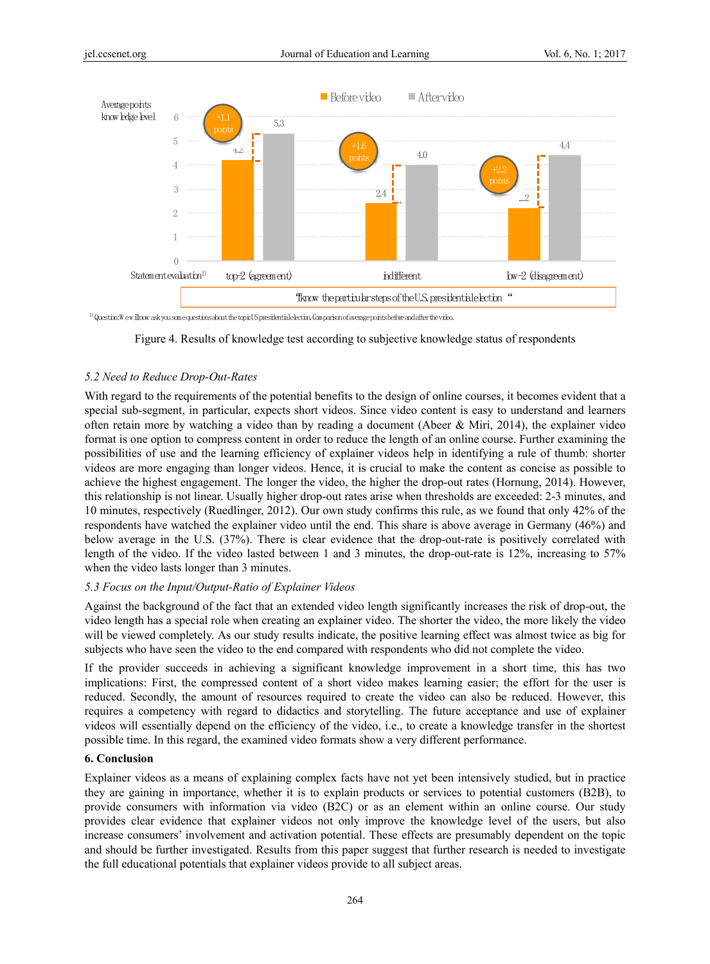

<sup>1)</sup> Question:W ew illnow ask you some questions about the topic US presidentiale lection. Comparison of average points before and after the video.

Figure 4. Results of knowledge test according to subjective knowledge status of respondents

#### *5.2 Need to Reduce Drop-Out-Rates*

With regard to the requirements of the potential benefits to the design of online courses, it becomes evident that a special sub-segment, in particular, expects short videos. Since video content is easy to understand and learners often retain more by watching a video than by reading a document (Abeer & Miri, 2014), the explainer video format is one option to compress content in order to reduce the length of an online course. Further examining the possibilities of use and the learning efficiency of explainer videos help in identifying a rule of thumb: shorter videos are more engaging than longer videos. Hence, it is crucial to make the content as concise as possible to achieve the highest engagement. The longer the video, the higher the drop-out rates (Hornung, 2014). However, this relationship is not linear. Usually higher drop-out rates arise when thresholds are exceeded: 2-3 minutes, and 10 minutes, respectively (Ruedlinger, 2012). Our own study confirms this rule, as we found that only 42% of the respondents have watched the explainer video until the end. This share is above average in Germany (46%) and below average in the U.S. (37%). There is clear evidence that the drop-out-rate is positively correlated with length of the video. If the video lasted between 1 and 3 minutes, the drop-out-rate is 12%, increasing to 57% when the video lasts longer than 3 minutes.

#### *5.3 Focus on the Input/Output-Ratio of Explainer Videos*

Against the background of the fact that an extended video length significantly increases the risk of drop-out, the video length has a special role when creating an explainer video. The shorter the video, the more likely the video will be viewed completely. As our study results indicate, the positive learning effect was almost twice as big for subjects who have seen the video to the end compared with respondents who did not complete the video.

If the provider succeeds in achieving a significant knowledge improvement in a short time, this has two implications: First, the compressed content of a short video makes learning easier; the effort for the user is reduced. Secondly, the amount of resources required to create the video can also be reduced. However, this requires a competency with regard to didactics and storytelling. The future acceptance and use of explainer videos will essentially depend on the efficiency of the video, i.e., to create a knowledge transfer in the shortest possible time. In this regard, the examined video formats show a very different performance.

## **6. Conclusion**

Explainer videos as a means of explaining complex facts have not yet been intensively studied, but in practice they are gaining in importance, whether it is to explain products or services to potential customers (B2B), to provide consumers with information via video (B2C) or as an element within an online course. Our study provides clear evidence that explainer videos not only improve the knowledge level of the users, but also increase consumers' involvement and activation potential. These effects are presumably dependent on the topic and should be further investigated. Results from this paper suggest that further research is needed to investigate the full educational potentials that explainer videos provide to all subject areas.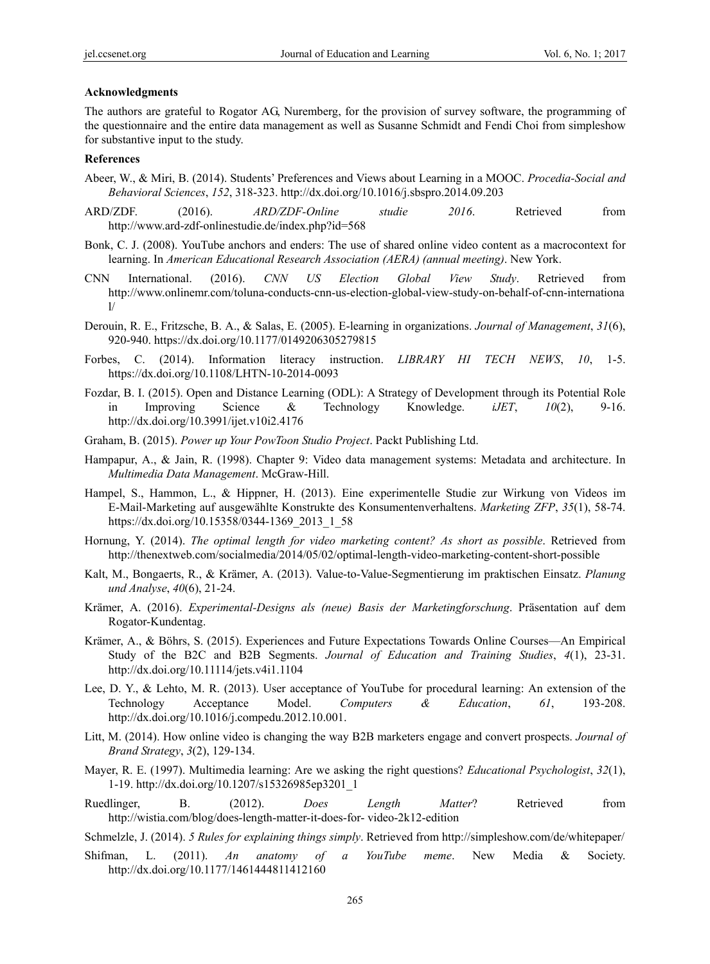#### **Acknowledgments**

The authors are grateful to Rogator AG, Nuremberg, for the provision of survey software, the programming of the questionnaire and the entire data management as well as Susanne Schmidt and Fendi Choi from simpleshow for substantive input to the study.

## **References**

- Abeer, W., & Miri, B. (2014). Students' Preferences and Views about Learning in a MOOC. *Procedia-Social and Behavioral Sciences*, *152*, 318-323. http://dx.doi.org/10.1016/j.sbspro.2014.09.203
- ARD/ZDF. (2016). *ARD/ZDF-Online studie 2016*. Retrieved from http://www.ard-zdf-onlinestudie.de/index.php?id=568
- Bonk, C. J. (2008). YouTube anchors and enders: The use of shared online video content as a macrocontext for learning. In *American Educational Research Association (AERA) (annual meeting)*. New York.
- CNN International. (2016). *CNN US Election Global View Study*. Retrieved from http://www.onlinemr.com/toluna-conducts-cnn-us-election-global-view-study-on-behalf-of-cnn-internationa l/
- Derouin, R. E., Fritzsche, B. A., & Salas, E. (2005). E-learning in organizations. *Journal of Management*, *31*(6), 920-940. https://dx.doi.org/10.1177/0149206305279815
- Forbes, C. (2014). Information literacy instruction. *LIBRARY HI TECH NEWS*, *10*, 1-5. https://dx.doi.org/10.1108/LHTN-10-2014-0093
- Fozdar, B. I. (2015). Open and Distance Learning (ODL): A Strategy of Development through its Potential Role in Improving Science & Technology Knowledge. *iJET*, *10*(2), 9-16. http://dx.doi.org/10.3991/ijet.v10i2.4176
- Graham, B. (2015). *Power up Your PowToon Studio Project*. Packt Publishing Ltd.
- Hampapur, A., & Jain, R. (1998). Chapter 9: Video data management systems: Metadata and architecture. In *Multimedia Data Management*. McGraw-Hill.
- Hampel, S., Hammon, L., & Hippner, H. (2013). Eine experimentelle Studie zur Wirkung von Videos im E-Mail-Marketing auf ausgewählte Konstrukte des Konsumentenverhaltens. *Marketing ZFP*, *35*(1), 58-74. https://dx.doi.org/10.15358/0344-1369\_2013\_1\_58
- Hornung, Y. (2014). *The optimal length for video marketing content? As short as possible*. Retrieved from http://thenextweb.com/socialmedia/2014/05/02/optimal-length-video-marketing-content-short-possible
- Kalt, M., Bongaerts, R., & Krämer, A. (2013). Value-to-Value-Segmentierung im praktischen Einsatz. *Planung und Analyse*, *40*(6), 21-24.
- Krämer, A. (2016). *Experimental-Designs als (neue) Basis der Marketingforschung*. Präsentation auf dem Rogator-Kundentag.
- Krämer, A., & Böhrs, S. (2015). Experiences and Future Expectations Towards Online Courses—An Empirical Study of the B2C and B2B Segments. *Journal of Education and Training Studies*, *4*(1), 23-31. http://dx.doi.org/10.11114/jets.v4i1.1104
- Lee, D. Y., & Lehto, M. R. (2013). User acceptance of YouTube for procedural learning: An extension of the Technology Acceptance Model. *Computers & Education*, *61*, 193-208. http://dx.doi.org/10.1016/j.compedu.2012.10.001.
- Litt, M. (2014). How online video is changing the way B2B marketers engage and convert prospects. *Journal of Brand Strategy*, *3*(2), 129-134.
- Mayer, R. E. (1997). Multimedia learning: Are we asking the right questions? *Educational Psychologist*, *32*(1), 1-19. http://dx.doi.org/10.1207/s15326985ep3201\_1
- Ruedlinger, B. (2012). *Does Length Matter*? Retrieved from http://wistia.com/blog/does-length-matter-it-does-for- video-2k12-edition
- Schmelzle, J. (2014). *5 Rules for explaining things simply*. Retrieved from http://simpleshow.com/de/whitepaper/
- Shifman, L. (2011). *An anatomy of a YouTube meme*. New Media & Society. http://dx.doi.org/10.1177/1461444811412160